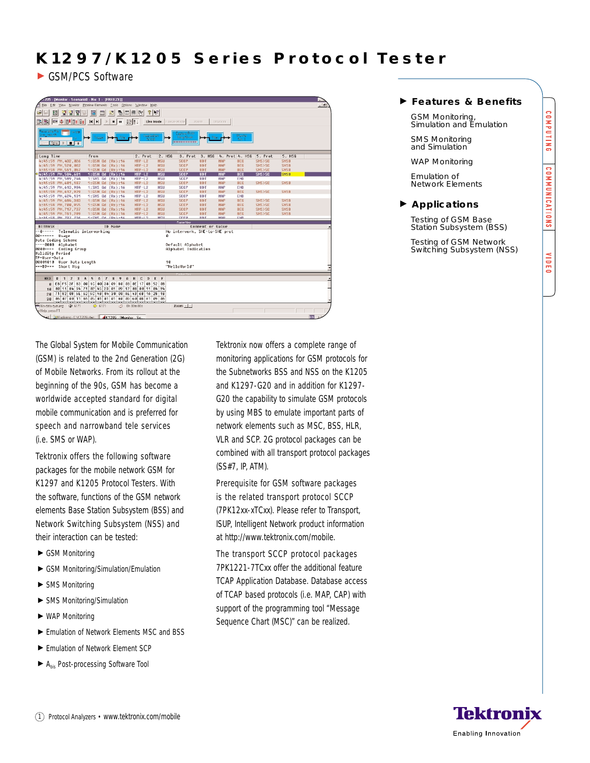# K1297/K1205 Series Protocol Tester

GSM/PCS Software

|                                                                                                                                       | (1205 - [Monitor - Scenario0 - No: 1 - [FREEZE]]<br>L.                              |                                     |                                               |                                                        |                          |                               |                          |                |                   |                  |             |    |  |  |  |
|---------------------------------------------------------------------------------------------------------------------------------------|-------------------------------------------------------------------------------------|-------------------------------------|-----------------------------------------------|--------------------------------------------------------|--------------------------|-------------------------------|--------------------------|----------------|-------------------|------------------|-------------|----|--|--|--|
| $-10$<br>File Edit View Monitor Pipeline-Elements Tools Options Window Help                                                           |                                                                                     |                                     |                                               |                                                        |                          |                               |                          |                |                   |                  |             |    |  |  |  |
| الاان                                                                                                                                 | 일일발<br>링미티어<br>$2 V_2 $<br>圖<br>囫<br>圖<br>$\boxed{\phantom{1}}$                     |                                     |                                               |                                                        |                          |                               |                          |                |                   |                  |             |    |  |  |  |
|                                                                                                                                       | 医中国相对<br>$\blacksquare$<br>$ A $ $ A $<br>Live Hode   Freeze Hode<br>Zoom<br>Unznom |                                     |                                               |                                                        |                          |                               |                          |                |                   |                  |             |    |  |  |  |
| economic film<br>64,600<br>Laplane Risks<br><b>Mr. John Mill</b><br>Firmg Monte:<br>Trippe<br>$\blacksquare$<br>$ $ Setup $ $ $ $ $ $ |                                                                                     |                                     |                                               |                                                        |                          |                               |                          |                |                   |                  |             |    |  |  |  |
| Long Time                                                                                                                             |                                                                                     | Fron                                |                                               | 2. Prot                                                | $2.$ MSG                 | 3. Prot                       | $3.$ MSG                 | 4. Prot 4. HSG |                   | 5. Prot          | 5. MSG      |    |  |  |  |
|                                                                                                                                       | 4:45:59 PM.432.026                                                                  |                                     | 1:GSN Gd (Rx):16                              | $MTP-L2$                                               | <b>NSU</b>               | <b>SCCP</b>                   | <b>UDT</b>               | MAP            | <b>BEG</b>        | SMS>SC           | <b>SMSB</b> |    |  |  |  |
|                                                                                                                                       | 4:45:59 PM,520,062                                                                  |                                     | 1:GSN Gd (Rx):16                              | $MTP-L2$                                               | <b>MSU</b>               | <b>SCCP</b>                   | <b>UDT</b>               | MAP            | <b>BEG</b>        | <b>SMS&gt;SC</b> | <b>SMSB</b> |    |  |  |  |
|                                                                                                                                       | 4:45:59 PM, 561, 047                                                                |                                     | 1:GSN Gd (Rx):16                              | $MTP-L2$                                               | <b>MSU</b>               | <b>SCCP</b>                   | UDT                      | MAP            | <b>BEG</b>        | <b>SMS&gt;SC</b> | <b>SMSB</b> |    |  |  |  |
|                                                                                                                                       | 4:45:59 PM.584.681                                                                  |                                     | 1:GSN Gd (Rx):16                              | $MTP-L2$                                               | <b>HSU</b>               | <b>SCCP</b>                   | <b>UDT</b>               | <b>MAP</b>     | <b>BEG</b>        | 32<2HZ           | <b>SMSB</b> |    |  |  |  |
|                                                                                                                                       | 4:45:59 PM,589,244                                                                  |                                     | $1:SHS$ Gd $(Rx):16$                          | $MTP-L2$                                               | <b>MSU</b>               | <b>SCCP</b>                   | <b>UDT</b>               | MAP            | <b>END</b>        |                  |             |    |  |  |  |
|                                                                                                                                       | 4:45:59 PH.601.187                                                                  |                                     | $1:GSN$ Gd $(Rx):16$                          | $MTP-L2$                                               | <b>HSU</b>               | <b>SCCP</b>                   | <b>UDT</b>               | MAP            | <b>BEG</b>        | <b>SHS&gt;SC</b> | <b>SMSB</b> |    |  |  |  |
|                                                                                                                                       | 4:45:59 PM,613,984                                                                  |                                     | 1:SMS Gd (Rx):16                              | $MTP-L2$                                               | <b>MSU</b>               | <b>SCCP</b>                   | <b>UDT</b>               | MAP            | <b>END</b>        |                  |             |    |  |  |  |
|                                                                                                                                       | 4:45:59 PM.617.929                                                                  |                                     | $1:GSN$ Gd $(Rx):16$                          | $MTP-L2$                                               | <b>HSU</b>               | <b>SCCP</b>                   | <b>UDT</b>               | MAP            | <b>BEG</b>        | <b>SHS&gt;SC</b> | <b>SMSB</b> |    |  |  |  |
|                                                                                                                                       | 4:45:59 PM,624,131                                                                  |                                     | $1:$ SMS Gd $(Rx):16$                         | $MTP-L2$                                               | <b>MSU</b>               | <b>SCCP</b>                   | <b>UDT</b>               | MAP            | <b>END</b>        |                  |             |    |  |  |  |
|                                                                                                                                       | 4:45:59 PM,684,303                                                                  |                                     | $1:GSN$ Gd $(Rx):16$                          | $MTP-L2$                                               | <b>MSU</b>               | SCCP                          | <b>UDT</b>               | MAP            | <b>BEG</b>        | <b>SMS&gt;SC</b> | <b>SMSB</b> |    |  |  |  |
|                                                                                                                                       | 4:45:59 PM,700,955                                                                  |                                     | 1:GSN Gd (Rx):16                              | $MTP-L2$                                               | <b>HSU</b>               | <b>SCCP</b>                   | <b>UDT</b>               | MAP            | <b>BEG</b>        | <b>SHS&gt;SC</b> | <b>SMSB</b> |    |  |  |  |
|                                                                                                                                       | 4:45:59 PM, 717, 737                                                                |                                     | 1:GSN Gd (Rx):16                              | $MTP-L2$                                               | <b>HSU</b>               | <b>SCCP</b>                   | <b>HDT</b>               | MAP            | <b>BEG</b>        | <b>SHS&gt;SC</b> | <b>SMSB</b> |    |  |  |  |
|                                                                                                                                       | 4:45:59 PM, 761, 289<br>h - h - - 50 PH 707 796                                     |                                     | 1:GSN Gd (Rx):16<br>$4 - 4 - 4 = 12$ DH2 - 16 | $MTP-L2$<br>$MTP-1.9$                                  | <b>HSU</b><br><b>HSH</b> | <b>SCCP</b><br>enne           | <b>UDT</b><br><b>HDT</b> | MAP<br>MOP     | <b>BEG</b><br>END | <b>SHS&gt;SC</b> | <b>SMSB</b> |    |  |  |  |
|                                                                                                                                       |                                                                                     |                                     |                                               |                                                        |                          | <b>Frame View</b>             |                          |                |                   |                  |             |    |  |  |  |
| <b>BITMASK</b>                                                                                                                        |                                                                                     |                                     | <b>ID Name</b>                                |                                                        |                          |                               | Connent or Value         |                |                   |                  |             |    |  |  |  |
| $-8 - - - - -$                                                                                                                        | Telematic intervorking                                                              |                                     |                                               |                                                        |                          | No interwork, SME-to-SME prot |                          |                |                   |                  |             |    |  |  |  |
| $00$ ------                                                                                                                           | Usage                                                                               |                                     |                                               |                                                        |                          | ß.                            |                          |                |                   |                  |             |    |  |  |  |
|                                                                                                                                       | Data Coding Scheme                                                                  |                                     |                                               |                                                        |                          |                               |                          |                |                   |                  |             |    |  |  |  |
|                                                                                                                                       | ---- 0000 Alphabet                                                                  |                                     |                                               |                                                        |                          | Default Alphabet              |                          |                |                   |                  |             |    |  |  |  |
| Alphabet Indication<br>0000---- Coding Group                                                                                          |                                                                                     |                                     |                                               |                                                        |                          |                               |                          |                |                   |                  |             |    |  |  |  |
|                                                                                                                                       |                                                                                     |                                     | <b>Ualiditu Period</b>                        |                                                        |                          |                               |                          |                |                   |                  |             |    |  |  |  |
|                                                                                                                                       |                                                                                     |                                     |                                               |                                                        |                          |                               |                          |                |                   |                  |             |    |  |  |  |
| TP-User-Data                                                                                                                          |                                                                                     |                                     |                                               |                                                        |                          |                               |                          |                |                   |                  |             |    |  |  |  |
|                                                                                                                                       | 00001010 User Data Length                                                           |                                     |                                               |                                                        |                          | 18                            |                          |                |                   |                  |             |    |  |  |  |
|                                                                                                                                       | ***B9*** Short Msg                                                                  |                                     |                                               |                                                        |                          | "HelloWorld"                  |                          |                |                   |                  |             |    |  |  |  |
|                                                                                                                                       |                                                                                     |                                     |                                               |                                                        |                          |                               |                          |                |                   |                  |             |    |  |  |  |
|                                                                                                                                       |                                                                                     |                                     |                                               |                                                        |                          |                               |                          |                |                   |                  |             |    |  |  |  |
| <b>HEX</b>                                                                                                                            | $\sqrt{3}$<br>$\boldsymbol{\theta}$<br>$\overline{c}$<br>$\blacksquare$             | 5<br>ő<br>$\mathbf{J}_{\mathbf{I}}$ | $\overline{\phantom{a}}$<br>8                 | $^{9}$<br>B<br>c<br>$\mathbf{D}$<br>$\mathbf{\hat{R}}$ | <b>F</b><br>Ε            |                               |                          |                |                   |                  |             |    |  |  |  |
|                                                                                                                                       | a E8 F5 3F 83 88                                                                    | 10 88 38                            |                                               | 09 88 83 85 17 88 52 88                                |                          |                               |                          |                |                   |                  |             |    |  |  |  |
| 18                                                                                                                                    |                                                                                     |                                     |                                               | 88 11 84 94 71 82 45 23 81 89 12 88 88 11 84 94        |                          |                               |                          |                |                   |                  |             |    |  |  |  |
| $20 -$                                                                                                                                |                                                                                     |                                     |                                               | 71 82 88 5E 62 5C 48 84 38 88 AE 43 6B 1A 28 18        |                          |                               |                          |                |                   |                  |             |    |  |  |  |
|                                                                                                                                       |                                                                                     |                                     |                                               | 30 86 87 88 11 86 85 81 81 81 88 89 68 88 81 89 86     |                          |                               |                          |                |                   |                  |             |    |  |  |  |
|                                                                                                                                       |                                                                                     |                                     |                                               |                                                        |                          |                               |                          |                |                   |                  |             |    |  |  |  |
|                                                                                                                                       | No data queuing   $\Psi$ 6171                                                       | 5171                                |                                               | (3) 0h 00m 00s                                         |                          | $Zoom \equiv  p $             |                          |                |                   |                  |             |    |  |  |  |
| If Help, press F1                                                                                                                     | Last 3J Exploring - C:\K1205\stac 4K1205 - [Monitor - Sc                            |                                     |                                               |                                                        |                          |                               |                          |                |                   |                  |             | EN |  |  |  |

The Global System for Mobile Communication (GSM) is related to the 2nd Generation (2G) of Mobile Networks. From its rollout at the beginning of the 90s, GSM has become a worldwide accepted standard for digital mobile communication and is preferred for speech and narrowband tele services (i.e. SMS or WAP).

Tektronix offers the following software packages for the mobile network GSM for K1297 and K1205 Protocol Testers. With the software, functions of the GSM network elements Base Station Subsystem (BSS) and Network Switching Subsystem (NSS) and their interaction can be tested:

- ▶ GSM Monitoring
- GSM Monitoring/Simulation/Emulation
- ▶ SMS Monitoring
- SMS Monitoring/Simulation
- WAP Monitoring
- Emulation of Network Elements MSC and BSS
- Emulation of Network Element SCP
- $\blacktriangleright$  A<sub>his</sub> Post-processing Software Tool

Tektronix now offers a complete range of monitoring applications for GSM protocols for the Subnetworks BSS and NSS on the K1205 and K1297-G20 and in addition for K1297- G20 the capability to simulate GSM protocols by using MBS to emulate important parts of network elements such as MSC, BSS, HLR, VLR and SCP. 2G protocol packages can be combined with all transport protocol packages (SS#7, IP, ATM).

Prerequisite for GSM software packages is the related transport protocol SCCP (7PK12xx-xTCxx). Please refer to Transport, ISUP, Intelligent Network product information at http://www.tektronix.com/mobile.

The transport SCCP protocol packages 7PK1221-7TCxx offer the additional feature TCAP Application Database. Database access of TCAP based protocols (i.e. MAP, CAP) with support of the programming tool "Message Sequence Chart (MSC)" can be realized.

# **Features & Benefits**

GSM Monitoring, Simulation and Emulation

SMS Monitoring and Simulation

WAP Monitoring

Emulation of Network Elements

## **Applications**

Testing of GSM Base Station Subsystem (BSS)

Testing of GSM Network Switching Subsystem (NSS) COMPUTING

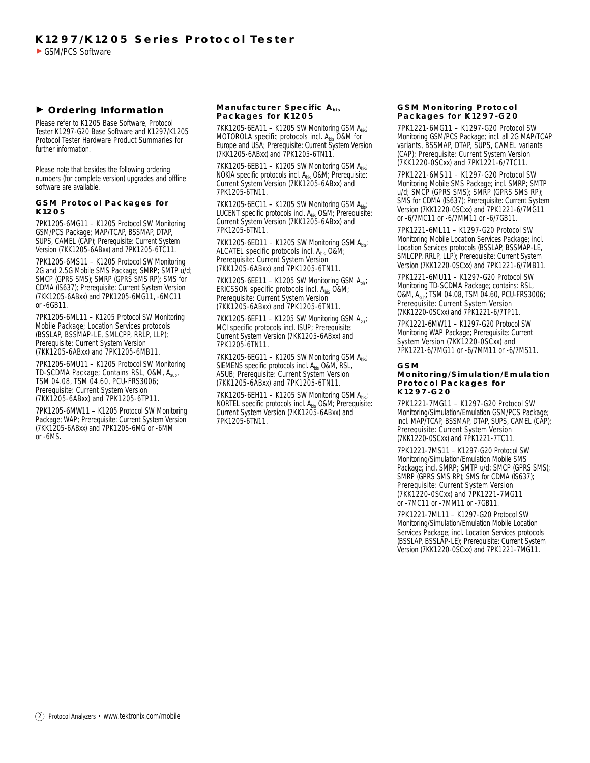# **Ordering Information**

Please refer to K1205 Base Software, Protocol Tester K1297-G20 Base Software and K1297/K1205 Protocol Tester Hardware Product Summaries for further information.

Please note that besides the following ordering numbers (for complete version) upgrades and offline software are available.

#### **GSM Protocol Packages for K1205**

7PK1205-6MG11 – K1205 Protocol SW Monitoring GSM/PCS Package; MAP/TCAP, BSSMAP, DTAP, SUPS, CAMEL (CAP); Prerequisite: Current System Version (7KK1205-6ABxx) and 7PK1205-6TC11.

7PK1205-6MS11 – K1205 Protocol SW Monitoring 2G and 2.5G Mobile SMS Package; SMRP; SMTP  $\check{u}/d$ ; SMCP (GPRS SMS); SMRP (GPRS SMS RP); SMS for CDMA (IS637); Prerequisite: Current System Version (7KK1205-6ABxx) and 7PK1205-6MG11, -6MC11 or -6GB11.

7PK1205-6ML11 – K1205 Protocol SW Monitoring Mobile Package; Location Services protocols (BSSLAP, BSSMAP-LE, SMLCPP, RRLP, LLP); Prerequisite: Current System Version (7KK1205-6ABxx) and 7PK1205-6MB11.

7PK1205-6MU11 – K1205 Protocol SW Monitoring TD-SCDMA Package; Contains RSL, O&M, Asub, TSM 04.08, TSM 04.60, PCU-FRS3006; Prerequisite: Current System Version (7KK1205-6ABxx) and 7PK1205-6TP11.

7PK1205-6MW11 – K1205 Protocol SW Monitoring Package; WAP; Prerequisite: Current System Version (7KK1205-6ABxx) and 7PK1205-6MG or -6MM or -6MS.

#### **Manufacturer Specific Abis Packages for K1205**

**7KK1205-6EA11 – K1205 SW Monitoring GSM Abis**; MOTOROLA specific protocols incl. A<sub>bis</sub> O&M for<br>Europe and USA; Prerequisite: Current System Version (7KK1205-6ABxx) and 7PK1205-6TN11.

**7KK1205-6EB11 – K1205 SW Monitoring GSM**  $A_{hist}$ NOKIA specific protocols incl.  $A<sub>bis</sub>$  O&M; Prerequisite: Current System Version (7KK1205-6ABxx) and 7PK1205-6TN11.

**7KK1205-6EC11 – K1205 SW Monitoring GSM Abis** LUCENT specific protocols incl. A<sub>his</sub> O&M; Prerequisite: Current System Version (7KK1205-6ABxx) and 7PK1205-6TN11.

**7KK1205-6ED11 – K1205 SW Monitoring GSM**  $A_{bis}$ **;** ALCATEL specific protocols incl.  $A_{\text{his}}$  O&M; Prerequisite: Current System Version (7KK1205-6ABxx) and 7PK1205-6TN11.

**7KK1205-6EE11 – K1205 SW Monitoring GSM**  $A_{\text{bis}}$ **;** ERICSSON specific protocols incl. Abis O&M; Prerequisite: Current System Version (7KK1205-6ABxx) and 7PK1205-6TN11.

**7KK1205-6EF11 – K1205 SW Monitoring GSM Abis;** MCI specific protocols incl. ISUP; Prerequisite: Current System Version (7KK1205-6ABxx) and 7PK1205-6TN11.

**7KK1205-6EG11 – K1205 SW Monitoring GSM**  $A_{\text{his}}$ **;** SIEMENS specific protocols incl.  $A_{\text{his}}$  O&M, RSL, ASUB; Prerequisite: Current System Version (7KK1205-6ABxx) and 7PK1205-6TN11.

**7KK1205-6EH11 – K1205 SW Monitoring GSM A**bis NORTEL specific protocols incl. Abis O&M; Prerequisite: Current System Version (7KK1205-6ABxx) and 7PK1205-6TN11.

#### **GSM Monitoring Protocol Packages for K1297-G20**

7PK1221-6MG11 – K1297-G20 Protocol SW Monitoring GSM/PCS Package; incl. all 2G MAP/TCAP variants, BSSMAP, DTAP, SUPS, CAMEL variants (CAP); Prerequisite: Current System Version (7KK1220-0SCxx) and 7PK1221-6/7TC11.

7PK1221-6MS11 – K1297-G20 Protocol SW Monitoring Mobile SMS Package; incl. SMRP; SMTP u/d; SMCP (GPRS SMS); SMRP (GPRS SMS RP); SMS for CDMA (IS637); Prerequisite: Current System Version (7KK1220-0SCxx) and 7PK1221-6/7MG11 or -6/7MC11 or -6/7MM11 or -6/7GB11.

7PK1221-6ML11 – K1297-G20 Protocol SW Monitoring Mobile Location Services Package; incl. Location Services protocols (BSSLAP, BSSMAP-LE, SMLCPP, RRLP, LLP); Prerequisite: Current System Version (7KK1220-0SCxx) and 7PK1221-6/7MB11.

7PK1221-6MU11 – K1297-G20 Protocol SW Monitoring TD-SCDMA Package; contains: RSL, O&M, Asub; TSM 04.08, TSM 04.60, PCU-FRS3006; Prerequisite: Current System Version (7KK1220-0SCxx) and 7PK1221-6/7TP11.

7PK1221-6MW11 – K1297-G20 Protocol SW Monitoring WAP Package; Prerequisite: Current System Version (7KK1220-0SCxx) and 7PK1221-6/7MG11 or -6/7MM11 or -6/7MS11.

#### **GSM**

#### **Monitoring/Simulation/Emulation Protocol Packages for K1297-G20**

7PK1221-7MG11 – K1297-G20 Protocol SW Monitoring/Simulation/Emulation GSM/PCS Package; incl. MAP/TCAP, BSSMAP, DTAP, SUPS, CAMEL (CAP); Prerequisite: Current System Version (7KK1220-0SCxx) and 7PK1221-7TC11.

7PK1221-7MS11 – K1297-G20 Protocol SW Monitoring/Simulation/Emulation Mobile SMS Package; incl. SMRP; SMTP u/d; SMCP (GPRS SMS); SMRP (GPRS SMS RP); SMS for CDMA (IS637); Prerequisite: Current System Version (7KK1220-0SCxx) and 7PK1221-7MG11 or -7MC11 or -7MM11 or -7GB11.

7PK1221-7ML11 – K1297-G20 Protocol SW Monitoring/Simulation/Emulation Mobile Location Services Package; incl. Location Services protocols (BSSLAP, BSSLAP-LE); Prerequisite: Current System Version (7KK1220-0SCxx) and 7PK1221-7MG11.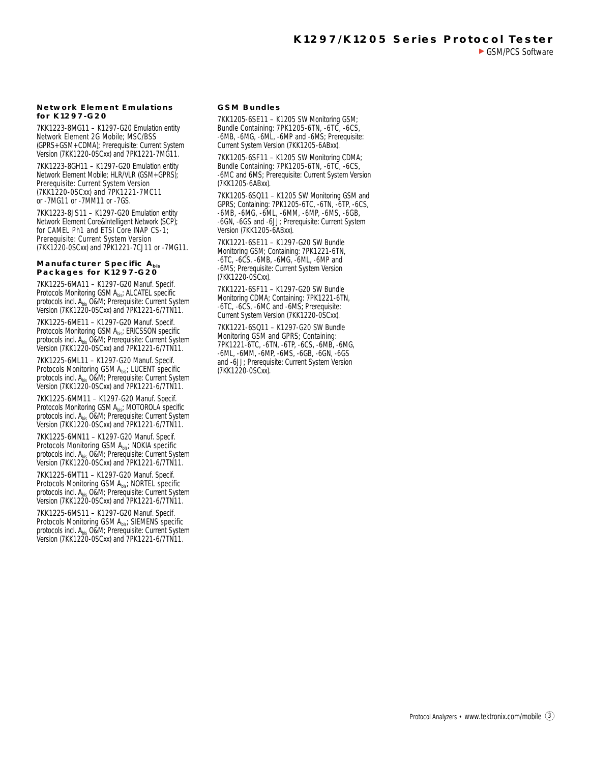#### **Network Element Emulations for K1297-G20**

7KK1223-8MG11 – K1297-G20 Emulation entity Network Element 2G Mobile; MSC/BSS (GPRS+GSM+CDMA); Prerequisite: Current System Version (7KK1220-0SCxx) and 7PK1221-7MG11.

7KK1223-8GH11 – K1297-G20 Emulation entity Network Element Mobile; HLR/VLR (GSM+GPRS); Prerequisite: Current System Version (7KK1220-0SCxx) and 7PK1221-7MC11 or -7MG11 or -7MM11 or -7GS.

7KK1223-8JS11 – K1297-G20 Emulation entity Network Element Core&Intelligent Network (SCP); for CAMEL Ph1 and ETSI Core INAP CS-1; Prerequisite: Current System Version (7KK1220-0SCxx) and 7PK1221-7CJ11 or -7MG11.

#### **Manufacturer Specific Abis Packages for K1297-G20**

7KK1225-6MA11 – K1297-G20 Manuf. Specif. Protocols Monitoring GSM Abis; ALCATEL specific protocols incl. Abis O&M; Prerequisite: Current System Version (7KK1220-0SCxx) and 7PK1221-6/7TN11.

7KK1225-6ME11 – K1297-G20 Manuf. Specif. Protocols Monitoring GSM Abis; ERICSSON specific protocols incl. A<sub>bis</sub> O&M; Prerequisite: Current System Version (7KK1220-0SCxx) and 7PK1221-6/7TN11.

7KK1225-6ML11 – K1297-G20 Manuf. Specif. Protocols Monitoring GSM Abis; LUCENT specific protocols incl. Abis O&M; Prerequisite: Current System Version (7KK1220-0SCxx) and 7PK1221-6/7TN11.

7KK1225-6MM11 – K1297-G20 Manuf. Specif. Protocols Monitoring GSM Abis; MOTOROLA specific protocols incl. A<sub>bis</sub> O&M; Prerequisite: Current System Version (7KK1220-0SCxx) and 7PK1221-6/7TN11.

7KK1225-6MN11 – K1297-G20 Manuf. Specif. Protocols Monitoring GSM A<sub>bis</sub>; NOKIA specific protocols incl. A<sub>bis</sub> O&M; Prerequisite: Current System Version (7KK1220-0SCxx) and 7PK1221-6/7TN11.

7KK1225-6MT11 – K1297-G20 Manuf. Specif. Protocols Monitoring GSM Abis; NORTEL specific protocols incl. Abis O&M; Prerequisite: Current System Version (7KK1220-0SCxx) and 7PK1221-6/7TN11.

7KK1225-6MS11 – K1297-G20 Manuf. Specif. Protocols Monitoring GSM Abis; SIEMENS specific protocols incl. Abis O&M; Prerequisite: Current System Version (7KK1220-0SCxx) and 7PK1221-6/7TN11.

### **GSM Bundles**

7KK1205-6SE11 – K1205 SW Monitoring GSM; Bundle Containing: 7PK1205-6TN, -6TC, -6CS, -6MB, -6MG, -6ML, -6MP and -6MS; Prerequisite: Current System Version (7KK1205-6ABxx).

7KK1205-6SF11 – K1205 SW Monitoring CDMA; Bundle Containing: 7PK1205-6TN, -6TC, -6CS, -6MC and 6MS; Prerequisite: Current System Version (7KK1205-6ABxx).

7KK1205-6SQ11 – K1205 SW Monitoring GSM and GPRS; Containing: 7PK1205-6TC, -6TN, -6TP, -6CS, -6MB, -6MG, -6ML, -6MM, -6MP, -6MS, -6GB, -6GN, -6GS and -6JJ; Prerequisite: Current System Version (7KK1205-6ABxx).

7KK1221-6SE11 – K1297-G20 SW Bundle Monitoring GSM; Containing: 7PK1221-6TN, -6TC, -6CS, -6MB, -6MG, -6ML, -6MP and -6MS; Prerequisite: Current System Version (7KK1220-0SCxx).

7KK1221-6SF11 – K1297-G20 SW Bundle Monitoring CDMA; Containing: 7PK1221-6TN, -6TC, -6CS, -6MC and -6MS; Prerequisite: Current System Version (7KK1220-0SCxx).

7KK1221-6SQ11 – K1297-G20 SW Bundle Monitoring GSM and GPRS; Containing: 7PK1221-6TC, -6TN, -6TP, -6CS, -6MB, -6MG, -6ML, -6MM, -6MP, -6MS, -6GB, -6GN, -6GS and -6JJ; Prerequisite: Current System Version (7KK1220-0SCxx).